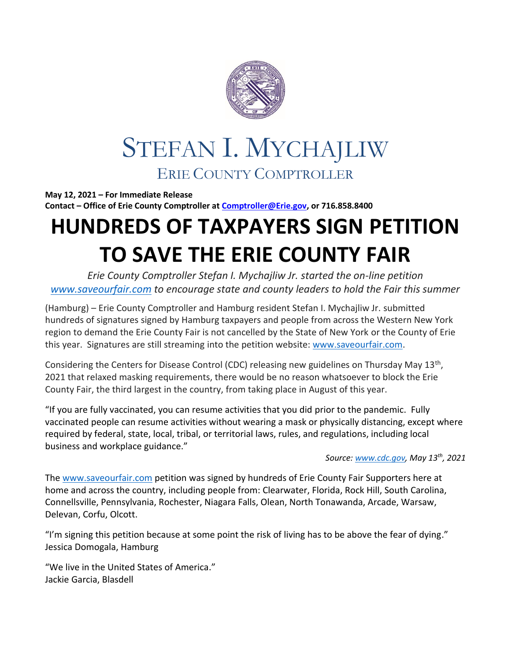

## STEFAN I. MYCHAJLIW ERIE COUNTY COMPTROLLER

**May 12, 2021 – For Immediate Release Contact – Office of Erie County Comptroller a[t Comptroller@Erie.gov,](mailto:Comptroller@Erie.gov) or 716.858.8400**

## **HUNDREDS OF TAXPAYERS SIGN PETITION TO SAVE THE ERIE COUNTY FAIR**

*Erie County Comptroller Stefan I. Mychajliw Jr. started the on-line petition [www.saveourfair.com](http://www.saveourfair.com/) to encourage state and county leaders to hold the Fair this summer*

(Hamburg) – Erie County Comptroller and Hamburg resident Stefan I. Mychajliw Jr. submitted hundreds of signatures signed by Hamburg taxpayers and people from across the Western New York region to demand the Erie County Fair is not cancelled by the State of New York or the County of Erie this year. Signatures are still streaming into the petition website: [www.saveourfair.com.](http://www.saveourfair.com/)

Considering the Centers for Disease Control (CDC) releasing new guidelines on Thursday May 13<sup>th</sup>, 2021 that relaxed masking requirements, there would be no reason whatsoever to block the Erie County Fair, the third largest in the country, from taking place in August of this year.

"If you are fully vaccinated, you can resume activities that you did prior to the pandemic. Fully vaccinated people can resume activities without wearing a mask or physically distancing, except where required by federal, state, local, tribal, or territorial laws, rules, and regulations, including local business and workplace guidance."

*Source[: www.cdc.gov,](http://www.cdc.gov/) May 13th, 2021*

The [www.saveourfair.com](http://www.saveourfair.com/) petition was signed by hundreds of Erie County Fair Supporters here at home and across the country, including people from: Clearwater, Florida, Rock Hill, South Carolina, Connellsville, Pennsylvania, Rochester, Niagara Falls, Olean, North Tonawanda, Arcade, Warsaw, Delevan, Corfu, Olcott.

"I'm signing this petition because at some point the risk of living has to be above the fear of dying." Jessica Domogala, Hamburg

"We live in the United States of America." Jackie Garcia, Blasdell